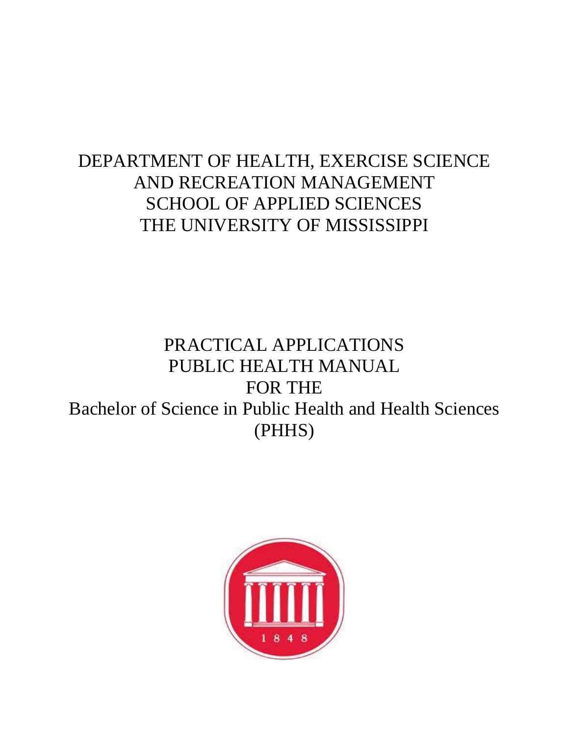# DEPARTMENT OF HEALTH, EXERCISE SCIENCE AND RECREATION MANAGEMENT SCHOOL OF APPLIED SCIENCES THE UNIVERSITY OF MISSISSIPPI

# PRACTICAL APPLICATIONS PUBLIC HEALTH MANUAL FOR THE Bachelor of Science in Public Health and Health Sciences (PHHS)

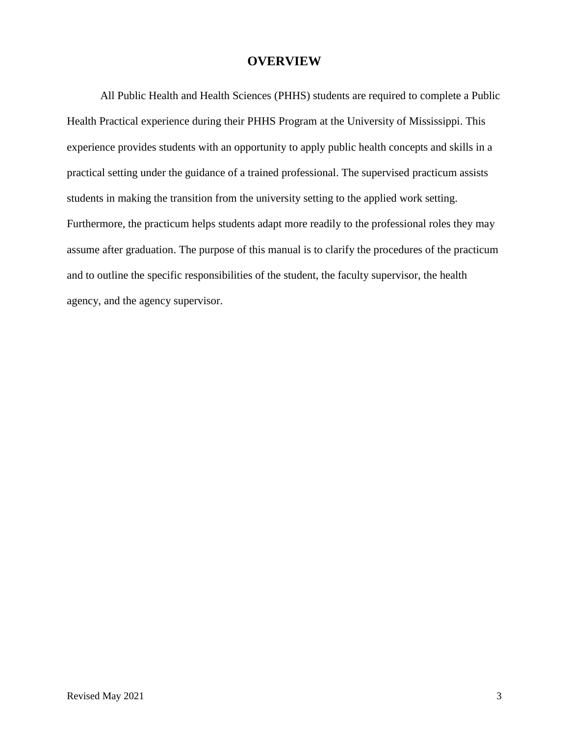### **OVERVIEW**

All Public Health and Health Sciences (PHHS) students are required to complete a Public Health Practical experience during their PHHS Program at the University of Mississippi. This experience provides students with an opportunity to apply public health concepts and skills in a practical setting under the guidance of a trained professional. The supervised practicum assists students in making the transition from the university setting to the applied work setting. Furthermore, the practicum helps students adapt more readily to the professional roles they may assume after graduation. The purpose of this manual is to clarify the procedures of the practicum and to outline the specific responsibilities of the student, the faculty supervisor, the health agency, and the agency supervisor.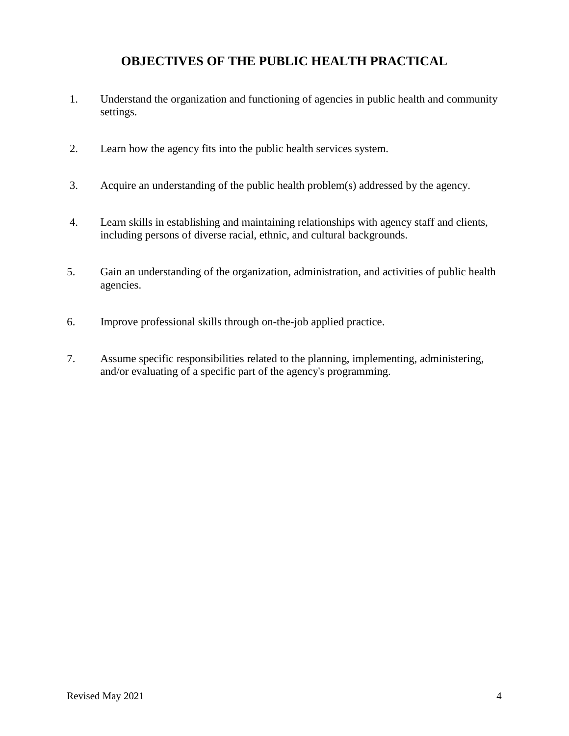## **OBJECTIVES OF THE PUBLIC HEALTH PRACTICAL**

- 1. Understand the organization and functioning of agencies in public health and community settings.
- 2. Learn how the agency fits into the public health services system.
- 3. Acquire an understanding of the public health problem(s) addressed by the agency.
- 4. Learn skills in establishing and maintaining relationships with agency staff and clients, including persons of diverse racial, ethnic, and cultural backgrounds.
- 5. Gain an understanding of the organization, administration, and activities of public health agencies.
- 6. Improve professional skills through on-the-job applied practice.
- 7. Assume specific responsibilities related to the planning, implementing, administering, and/or evaluating of a specific part of the agency's programming.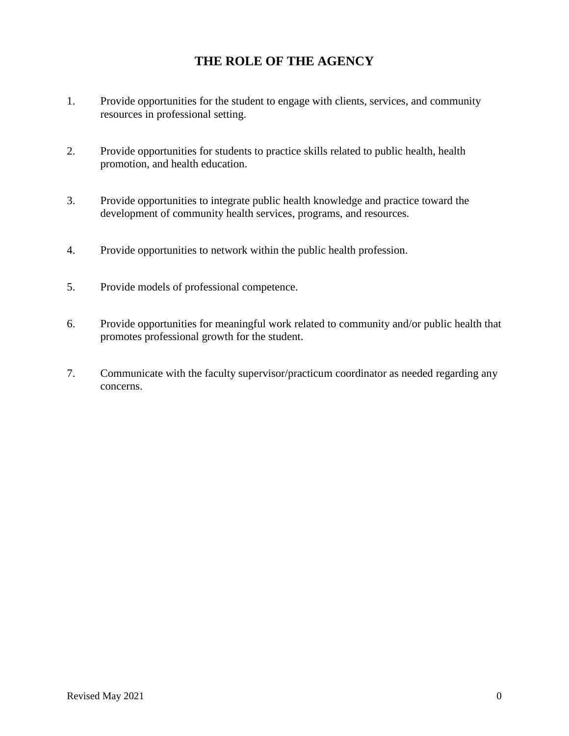## **THE ROLE OF THE AGENCY**

- 1. Provide opportunities for the student to engage with clients, services, and community resources in professional setting.
- 2. Provide opportunities for students to practice skills related to public health, health promotion, and health education.
- 3. Provide opportunities to integrate public health knowledge and practice toward the development of community health services, programs, and resources.
- 4. Provide opportunities to network within the public health profession.
- 5. Provide models of professional competence.
- 6. Provide opportunities for meaningful work related to community and/or public health that promotes professional growth for the student.
- 7. Communicate with the faculty supervisor/practicum coordinator as needed regarding any concerns.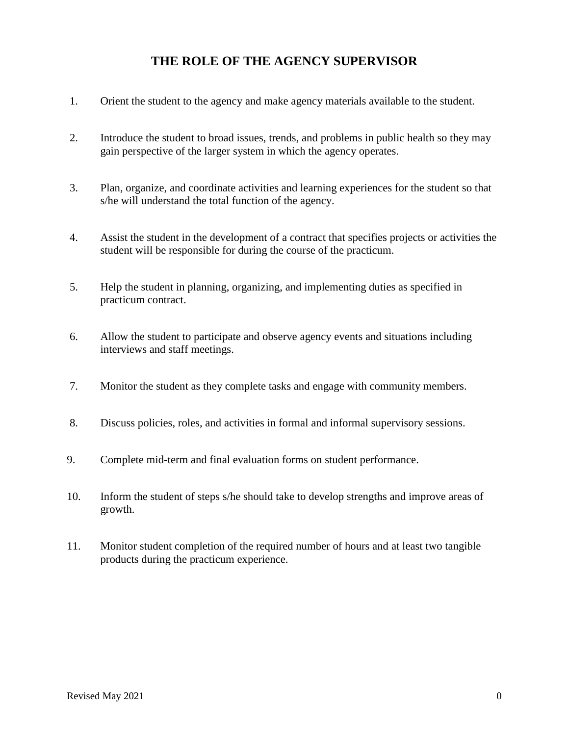## **THE ROLE OF THE AGENCY SUPERVISOR**

- 1. Orient the student to the agency and make agency materials available to the student.
- 2. Introduce the student to broad issues, trends, and problems in public health so they may gain perspective of the larger system in which the agency operates.
- 3. Plan, organize, and coordinate activities and learning experiences for the student so that s/he will understand the total function of the agency.
- 4. Assist the student in the development of a contract that specifies projects or activities the student will be responsible for during the course of the practicum.
- 5. Help the student in planning, organizing, and implementing duties as specified in practicum contract.
- 6. Allow the student to participate and observe agency events and situations including interviews and staff meetings.
- 7. Monitor the student as they complete tasks and engage with community members.
- 8. Discuss policies, roles, and activities in formal and informal supervisory sessions.
- 9. Complete mid-term and final evaluation forms on student performance.
- 10. Inform the student of steps s/he should take to develop strengths and improve areas of growth.
- 11. Monitor student completion of the required number of hours and at least two tangible products during the practicum experience.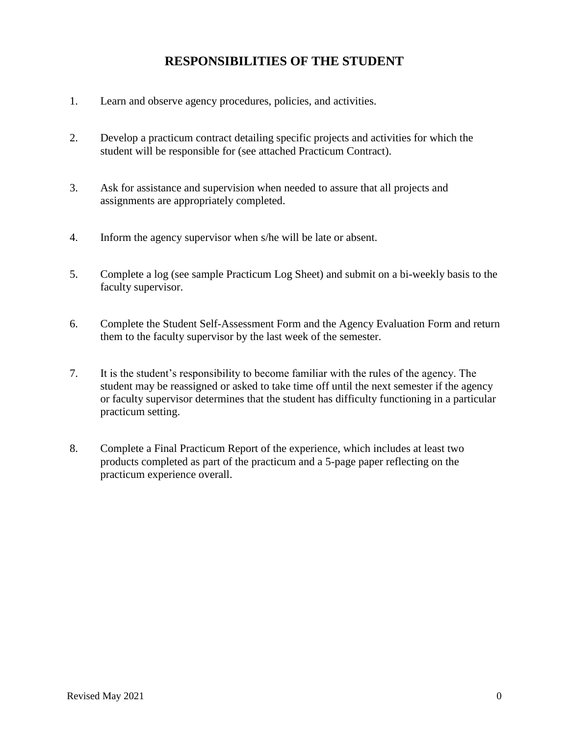## **RESPONSIBILITIES OF THE STUDENT**

- 1. Learn and observe agency procedures, policies, and activities.
- 2. Develop a practicum contract detailing specific projects and activities for which the student will be responsible for (see attached Practicum Contract).
- 3. Ask for assistance and supervision when needed to assure that all projects and assignments are appropriately completed.
- 4. Inform the agency supervisor when s/he will be late or absent.
- 5. Complete a log (see sample Practicum Log Sheet) and submit on a bi-weekly basis to the faculty supervisor.
- 6. Complete the Student Self-Assessment Form and the Agency Evaluation Form and return them to the faculty supervisor by the last week of the semester.
- 7. It is the student's responsibility to become familiar with the rules of the agency. The student may be reassigned or asked to take time off until the next semester if the agency or faculty supervisor determines that the student has difficulty functioning in a particular practicum setting.
- 8. Complete a Final Practicum Report of the experience, which includes at least two products completed as part of the practicum and a 5-page paper reflecting on the practicum experience overall.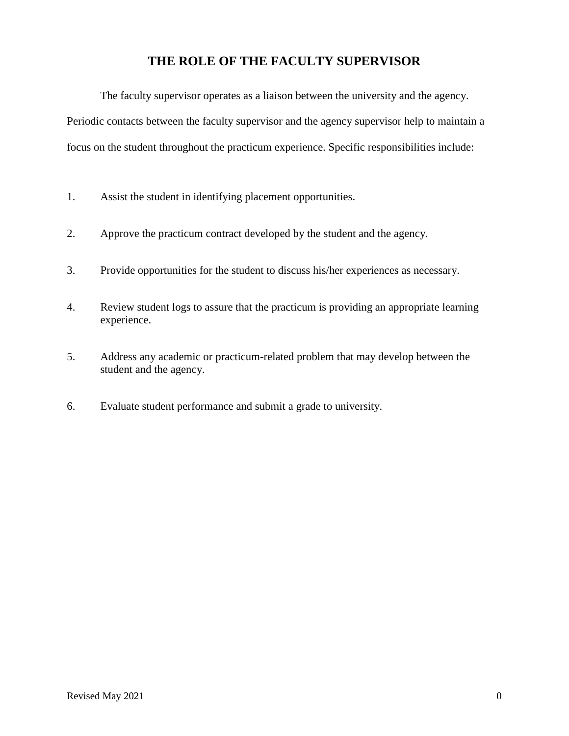## **THE ROLE OF THE FACULTY SUPERVISOR**

The faculty supervisor operates as a liaison between the university and the agency. Periodic contacts between the faculty supervisor and the agency supervisor help to maintain a focus on the student throughout the practicum experience. Specific responsibilities include:

- 1. Assist the student in identifying placement opportunities.
- 2. Approve the practicum contract developed by the student and the agency.
- 3. Provide opportunities for the student to discuss his/her experiences as necessary.
- 4. Review student logs to assure that the practicum is providing an appropriate learning experience.
- 5. Address any academic or practicum-related problem that may develop between the student and the agency.
- 6. Evaluate student performance and submit a grade to university.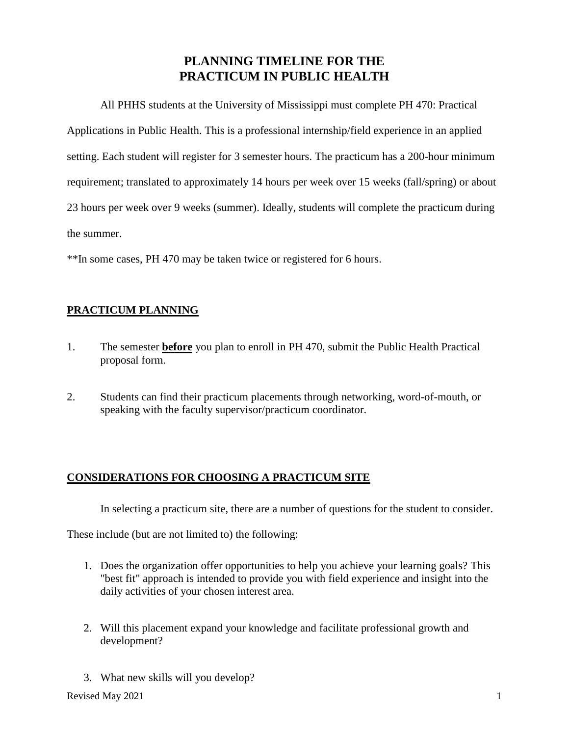## **PLANNING TIMELINE FOR THE PRACTICUM IN PUBLIC HEALTH**

All PHHS students at the University of Mississippi must complete PH 470: Practical Applications in Public Health. This is a professional internship/field experience in an applied setting. Each student will register for 3 semester hours. The practicum has a 200-hour minimum requirement; translated to approximately 14 hours per week over 15 weeks (fall/spring) or about 23 hours per week over 9 weeks (summer). Ideally, students will complete the practicum during the summer.

\*\*In some cases, PH 470 may be taken twice or registered for 6 hours.

## **PRACTICUM PLANNING**

- 1. The semester **before** you plan to enroll in PH 470, submit the Public Health Practical proposal form.
- 2. Students can find their practicum placements through networking, word-of-mouth, or speaking with the faculty supervisor/practicum coordinator.

## **CONSIDERATIONS FOR CHOOSING A PRACTICUM SITE**

In selecting a practicum site, there are a number of questions for the student to consider.

These include (but are not limited to) the following:

- 1. Does the organization offer opportunities to help you achieve your learning goals? This "best fit" approach is intended to provide you with field experience and insight into the daily activities of your chosen interest area.
- 2. Will this placement expand your knowledge and facilitate professional growth and development?
- 3. What new skills will you develop?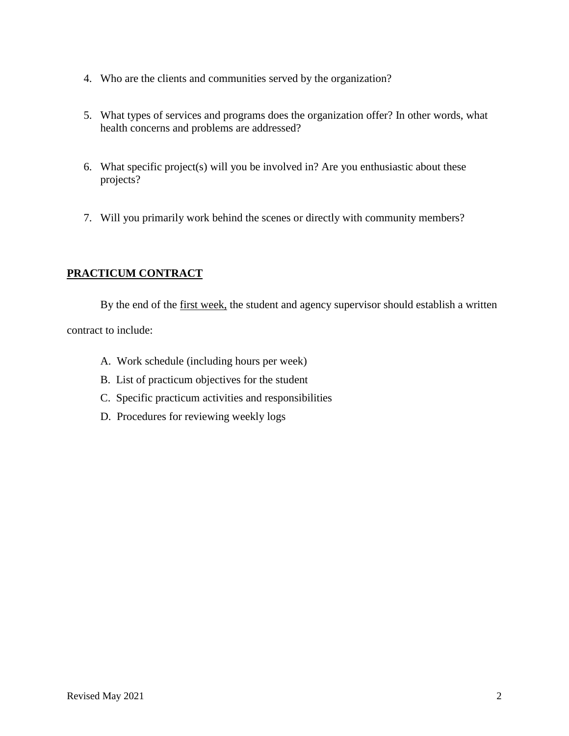- 4. Who are the clients and communities served by the organization?
- 5. What types of services and programs does the organization offer? In other words, what health concerns and problems are addressed?
- 6. What specific project(s) will you be involved in? Are you enthusiastic about these projects?
- 7. Will you primarily work behind the scenes or directly with community members?

## **PRACTICUM CONTRACT**

By the end of the first week, the student and agency supervisor should establish a written contract to include:

- A. Work schedule (including hours per week)
- B. List of practicum objectives for the student
- C. Specific practicum activities and responsibilities
- D. Procedures for reviewing weekly logs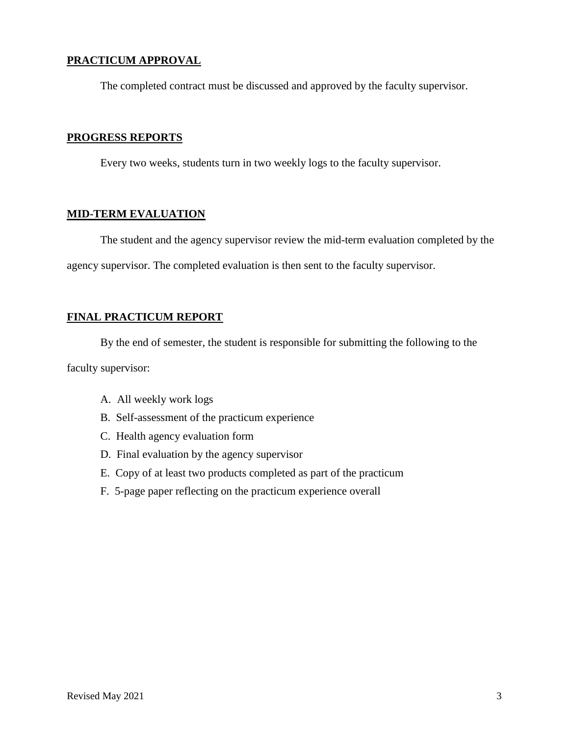#### **PRACTICUM APPROVAL**

The completed contract must be discussed and approved by the faculty supervisor.

#### **PROGRESS REPORTS**

Every two weeks, students turn in two weekly logs to the faculty supervisor.

#### **MID-TERM EVALUATION**

The student and the agency supervisor review the mid-term evaluation completed by the agency supervisor. The completed evaluation is then sent to the faculty supervisor.

#### **FINAL PRACTICUM REPORT**

By the end of semester, the student is responsible for submitting the following to the faculty supervisor:

- A. All weekly work logs
- B. Self-assessment of the practicum experience
- C. Health agency evaluation form
- D. Final evaluation by the agency supervisor
- E. Copy of at least two products completed as part of the practicum
- F. 5-page paper reflecting on the practicum experience overall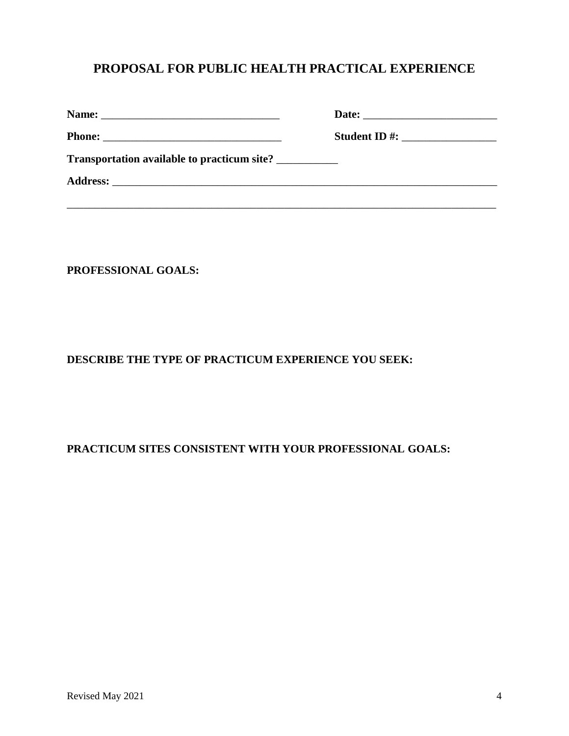## **PROPOSAL FOR PUBLIC HEALTH PRACTICAL EXPERIENCE**

| Transportation available to practicum site? |  |
|---------------------------------------------|--|
|                                             |  |
|                                             |  |

#### **PROFESSIONAL GOALS:**

## **DESCRIBE THE TYPE OF PRACTICUM EXPERIENCE YOU SEEK:**

### **PRACTICUM SITES CONSISTENT WITH YOUR PROFESSIONAL GOALS:**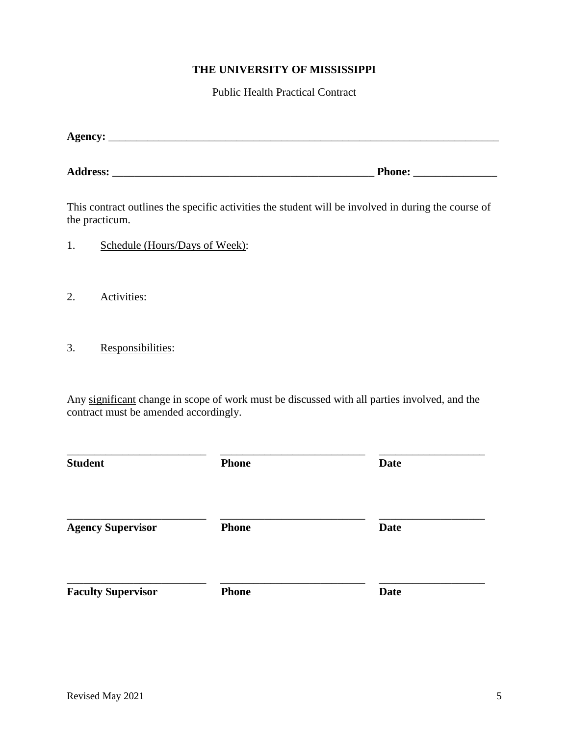### **THE UNIVERSITY OF MISSISSIPPI**

Public Health Practical Contract

| <b>Agency:</b> |  |  |  |
|----------------|--|--|--|
|                |  |  |  |

| . .<br>Ad<br>nec<br>. | m | me. |
|-----------------------|---|-----|
|                       |   |     |

This contract outlines the specific activities the student will be involved in during the course of the practicum.

- 1. Schedule (Hours/Days of Week):
- 2. Activities:
- 3. Responsibilities:

Any significant change in scope of work must be discussed with all parties involved, and the contract must be amended accordingly.

| <b>Student</b>            | <b>Phone</b> | <b>Date</b> |
|---------------------------|--------------|-------------|
| <b>Agency Supervisor</b>  | <b>Phone</b> | <b>Date</b> |
| <b>Faculty Supervisor</b> | <b>Phone</b> | <b>Date</b> |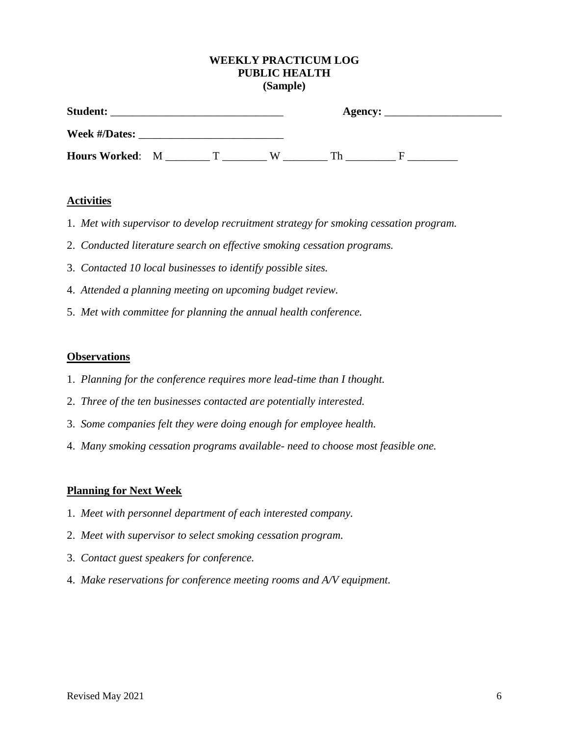#### **WEEKLY PRACTICUM LOG PUBLIC HEALTH (Sample)**

| <b>Student:</b>      |  |  |   | Agency: |  |
|----------------------|--|--|---|---------|--|
| <b>Week #/Dates:</b> |  |  |   |         |  |
| Hours Worked: M      |  |  | W | Th      |  |

#### **Activities**

- 1. *Met with supervisor to develop recruitment strategy for smoking cessation program.*
- 2. *Conducted literature search on effective smoking cessation programs.*
- 3. *Contacted 10 local businesses to identify possible sites.*
- 4. *Attended a planning meeting on upcoming budget review.*
- 5. *Met with committee for planning the annual health conference.*

#### **Observations**

- 1. *Planning for the conference requires more lead-time than I thought.*
- 2. *Three of the ten businesses contacted are potentially interested.*
- 3. *Some companies felt they were doing enough for employee health.*
- 4. *Many smoking cessation programs available- need to choose most feasible one.*

#### **Planning for Next Week**

- 1. *Meet with personnel department of each interested company.*
- 2. *Meet with supervisor to select smoking cessation program.*
- 3. *Contact guest speakers for conference.*
- 4. *Make reservations for conference meeting rooms and A/V equipment.*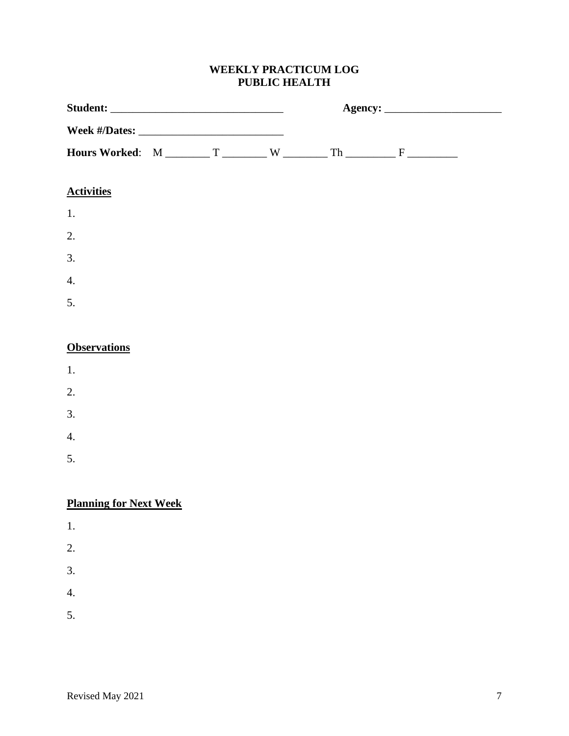## **WEEKLY PRACTICUM LOG PUBLIC HEALTH**

| <b>Activities</b>             |  |  |  |  |  |  |
|-------------------------------|--|--|--|--|--|--|
| 1.                            |  |  |  |  |  |  |
| 2.                            |  |  |  |  |  |  |
| 3.                            |  |  |  |  |  |  |
| $\overline{4}$ .              |  |  |  |  |  |  |
| 5.                            |  |  |  |  |  |  |
|                               |  |  |  |  |  |  |
| <b>Observations</b>           |  |  |  |  |  |  |
| 1.                            |  |  |  |  |  |  |
| 2.                            |  |  |  |  |  |  |
| 3.                            |  |  |  |  |  |  |
| $\overline{4}$ .              |  |  |  |  |  |  |
| 5.                            |  |  |  |  |  |  |
|                               |  |  |  |  |  |  |
| <b>Planning for Next Week</b> |  |  |  |  |  |  |
| 1.                            |  |  |  |  |  |  |
| 2.                            |  |  |  |  |  |  |

- 3.
- 
- 4.
- 5.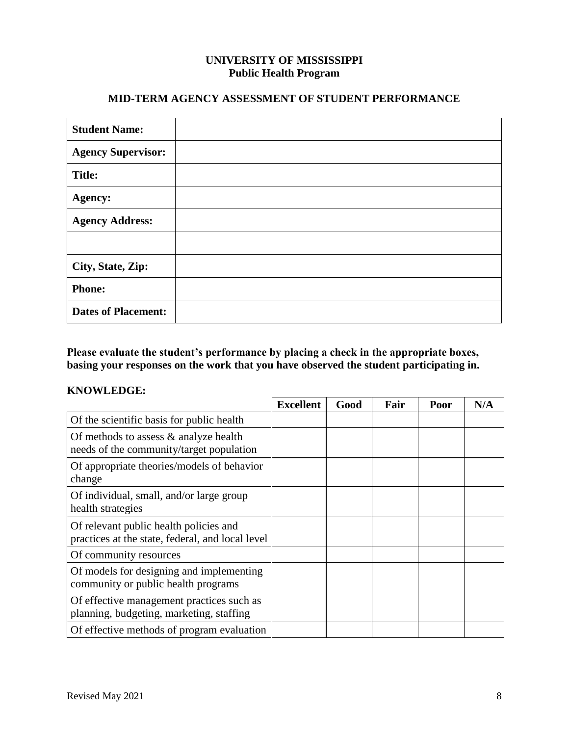#### **UNIVERSITY OF MISSISSIPPI Public Health Program**

## **MID-TERM AGENCY ASSESSMENT OF STUDENT PERFORMANCE**

| <b>Student Name:</b>       |  |
|----------------------------|--|
| <b>Agency Supervisor:</b>  |  |
| <b>Title:</b>              |  |
| <b>Agency:</b>             |  |
| <b>Agency Address:</b>     |  |
|                            |  |
| City, State, Zip:          |  |
| <b>Phone:</b>              |  |
| <b>Dates of Placement:</b> |  |

**Please evaluate the student's performance by placing a check in the appropriate boxes, basing your responses on the work that you have observed the student participating in.**

#### **KNOWLEDGE:**

|                                                                                            | <b>Excellent</b> | Good | Fair | Poor | N/A |
|--------------------------------------------------------------------------------------------|------------------|------|------|------|-----|
| Of the scientific basis for public health                                                  |                  |      |      |      |     |
| Of methods to assess $\&$ analyze health<br>needs of the community/target population       |                  |      |      |      |     |
| Of appropriate theories/models of behavior<br>change                                       |                  |      |      |      |     |
| Of individual, small, and/or large group<br>health strategies                              |                  |      |      |      |     |
| Of relevant public health policies and<br>practices at the state, federal, and local level |                  |      |      |      |     |
| Of community resources                                                                     |                  |      |      |      |     |
| Of models for designing and implementing<br>community or public health programs            |                  |      |      |      |     |
| Of effective management practices such as<br>planning, budgeting, marketing, staffing      |                  |      |      |      |     |
| Of effective methods of program evaluation                                                 |                  |      |      |      |     |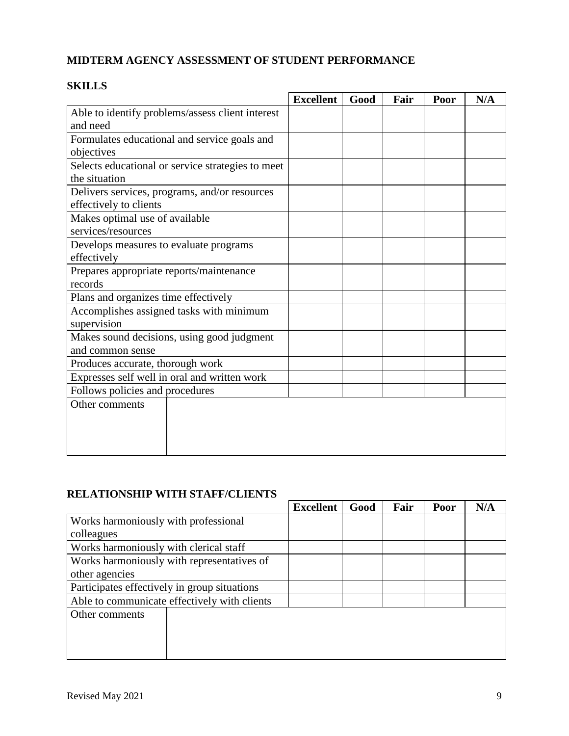## **MIDTERM AGENCY ASSESSMENT OF STUDENT PERFORMANCE**

| <b>Excellent</b> | Good | Fair | Poor | N/A |
|------------------|------|------|------|-----|
|                  |      |      |      |     |
|                  |      |      |      |     |
|                  |      |      |      |     |
|                  |      |      |      |     |
|                  |      |      |      |     |
|                  |      |      |      |     |
|                  |      |      |      |     |
|                  |      |      |      |     |
|                  |      |      |      |     |
|                  |      |      |      |     |
|                  |      |      |      |     |
|                  |      |      |      |     |
|                  |      |      |      |     |
|                  |      |      |      |     |
|                  |      |      |      |     |
|                  |      |      |      |     |
|                  |      |      |      |     |
|                  |      |      |      |     |
|                  |      |      |      |     |
|                  |      |      |      |     |
|                  |      |      |      |     |
|                  |      |      |      |     |
|                  |      |      |      |     |
|                  |      |      |      |     |
|                  |      |      |      |     |
|                  |      |      |      |     |
|                  |      |      |      |     |

#### **SKILLS**

## **RELATIONSHIP WITH STAFF/CLIENTS**

|                                              | <b>Excellent</b> | Good | Fair | Poor | N/A |
|----------------------------------------------|------------------|------|------|------|-----|
| Works harmoniously with professional         |                  |      |      |      |     |
| colleagues                                   |                  |      |      |      |     |
| Works harmoniously with clerical staff       |                  |      |      |      |     |
| Works harmoniously with representatives of   |                  |      |      |      |     |
| other agencies                               |                  |      |      |      |     |
| Participates effectively in group situations |                  |      |      |      |     |
| Able to communicate effectively with clients |                  |      |      |      |     |
| Other comments                               |                  |      |      |      |     |
|                                              |                  |      |      |      |     |
|                                              |                  |      |      |      |     |
|                                              |                  |      |      |      |     |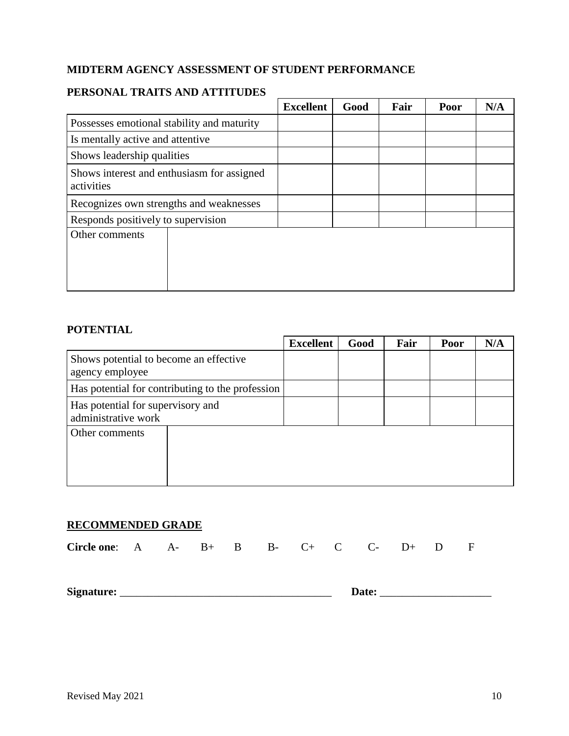## **MIDTERM AGENCY ASSESSMENT OF STUDENT PERFORMANCE**

|                                                          | <b>Excellent</b> | Good | Fair | Poor | N/A |
|----------------------------------------------------------|------------------|------|------|------|-----|
| Possesses emotional stability and maturity               |                  |      |      |      |     |
| Is mentally active and attentive                         |                  |      |      |      |     |
| Shows leadership qualities                               |                  |      |      |      |     |
| Shows interest and enthusiasm for assigned<br>activities |                  |      |      |      |     |
| Recognizes own strengths and weaknesses                  |                  |      |      |      |     |
| Responds positively to supervision                       |                  |      |      |      |     |
| Other comments                                           |                  |      |      |      |     |

## **PERSONAL TRAITS AND ATTITUDES**

## **POTENTIAL**

|                                                           | <b>Excellent</b> | Good | Fair | Poor | N/A |
|-----------------------------------------------------------|------------------|------|------|------|-----|
| Shows potential to become an effective<br>agency employee |                  |      |      |      |     |
| Has potential for contributing to the profession          |                  |      |      |      |     |
| Has potential for supervisory and<br>administrative work  |                  |      |      |      |     |
| Other comments                                            |                  |      |      |      |     |

### **RECOMMENDED GRADE**

| Circle one: A $A - B + B$ B $B - C + C$ C $D + D$ |  |  |  |       |  | - F |  |
|---------------------------------------------------|--|--|--|-------|--|-----|--|
| Signature:                                        |  |  |  | Date: |  |     |  |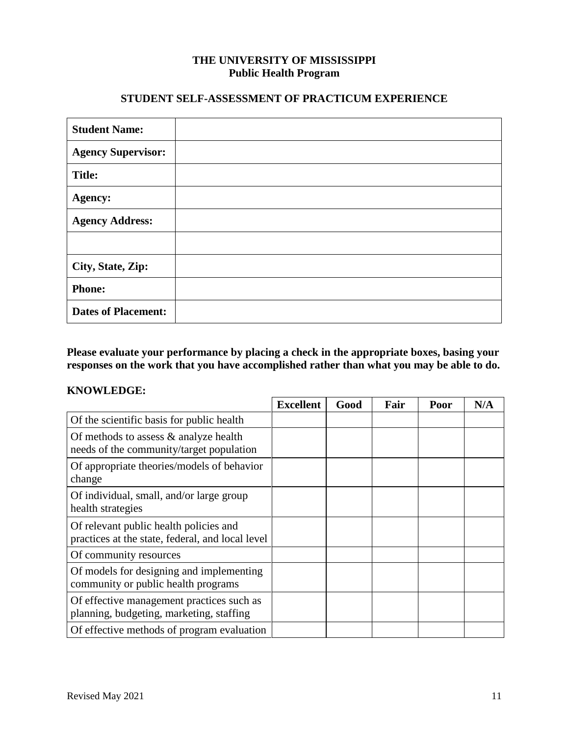#### **THE UNIVERSITY OF MISSISSIPPI Public Health Program**

## **STUDENT SELF-ASSESSMENT OF PRACTICUM EXPERIENCE**

| <b>Student Name:</b>       |  |
|----------------------------|--|
| <b>Agency Supervisor:</b>  |  |
| <b>Title:</b>              |  |
| <b>Agency:</b>             |  |
| <b>Agency Address:</b>     |  |
|                            |  |
| City, State, Zip:          |  |
| <b>Phone:</b>              |  |
| <b>Dates of Placement:</b> |  |

**Please evaluate your performance by placing a check in the appropriate boxes, basing your responses on the work that you have accomplished rather than what you may be able to do.**

#### **KNOWLEDGE:**

|                                                                                            | <b>Excellent</b> | Good | Fair | Poor | N/A |
|--------------------------------------------------------------------------------------------|------------------|------|------|------|-----|
| Of the scientific basis for public health                                                  |                  |      |      |      |     |
| Of methods to assess $\&$ analyze health<br>needs of the community/target population       |                  |      |      |      |     |
| Of appropriate theories/models of behavior<br>change                                       |                  |      |      |      |     |
| Of individual, small, and/or large group<br>health strategies                              |                  |      |      |      |     |
| Of relevant public health policies and<br>practices at the state, federal, and local level |                  |      |      |      |     |
| Of community resources                                                                     |                  |      |      |      |     |
| Of models for designing and implementing<br>community or public health programs            |                  |      |      |      |     |
| Of effective management practices such as<br>planning, budgeting, marketing, staffing      |                  |      |      |      |     |
| Of effective methods of program evaluation                                                 |                  |      |      |      |     |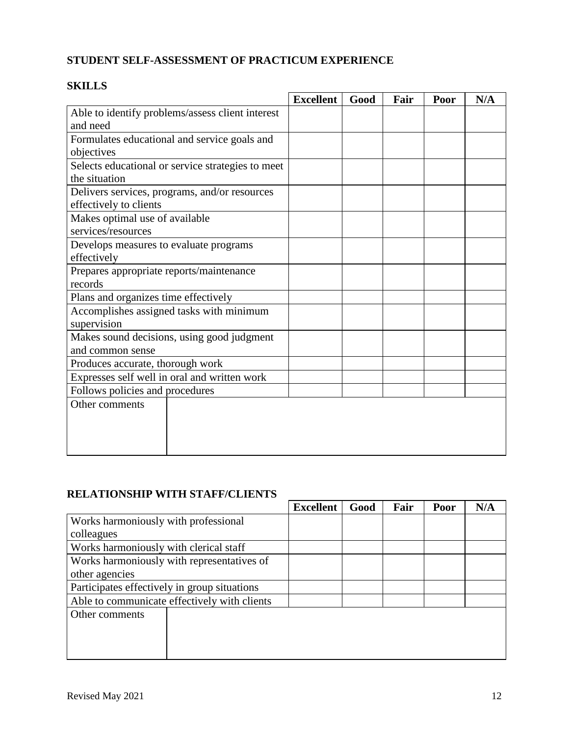## **STUDENT SELF-ASSESSMENT OF PRACTICUM EXPERIENCE**

| <b>Excellent</b> | Good | Fair | Poor | N/A |
|------------------|------|------|------|-----|
|                  |      |      |      |     |
|                  |      |      |      |     |
|                  |      |      |      |     |
|                  |      |      |      |     |
|                  |      |      |      |     |
|                  |      |      |      |     |
|                  |      |      |      |     |
|                  |      |      |      |     |
|                  |      |      |      |     |
|                  |      |      |      |     |
|                  |      |      |      |     |
|                  |      |      |      |     |
|                  |      |      |      |     |
|                  |      |      |      |     |
|                  |      |      |      |     |
|                  |      |      |      |     |
|                  |      |      |      |     |
|                  |      |      |      |     |
|                  |      |      |      |     |
|                  |      |      |      |     |
|                  |      |      |      |     |
|                  |      |      |      |     |
|                  |      |      |      |     |
|                  |      |      |      |     |
|                  |      |      |      |     |
|                  |      |      |      |     |
|                  |      |      |      |     |

#### **SKILLS**

## **RELATIONSHIP WITH STAFF/CLIENTS**

|                                              | <b>Excellent</b> | Good | Fair | Poor | N/A |
|----------------------------------------------|------------------|------|------|------|-----|
| Works harmoniously with professional         |                  |      |      |      |     |
| colleagues                                   |                  |      |      |      |     |
| Works harmoniously with clerical staff       |                  |      |      |      |     |
| Works harmoniously with representatives of   |                  |      |      |      |     |
| other agencies                               |                  |      |      |      |     |
| Participates effectively in group situations |                  |      |      |      |     |
| Able to communicate effectively with clients |                  |      |      |      |     |
| Other comments                               |                  |      |      |      |     |
|                                              |                  |      |      |      |     |
|                                              |                  |      |      |      |     |
|                                              |                  |      |      |      |     |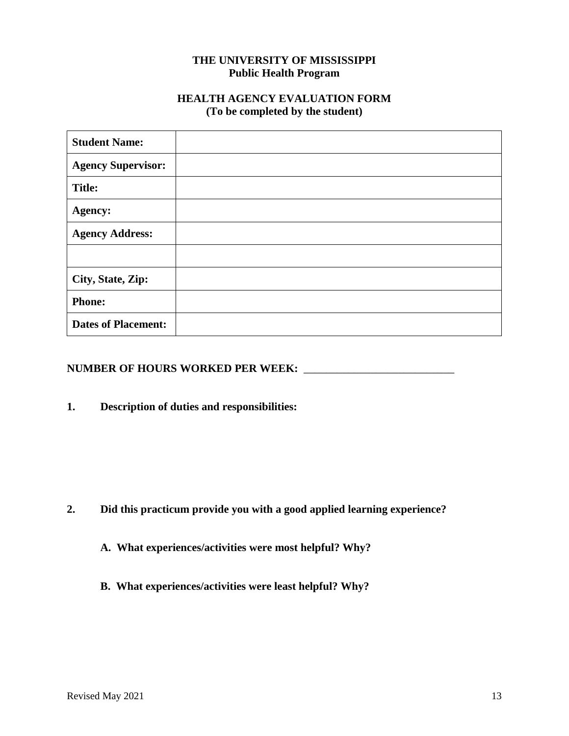#### **THE UNIVERSITY OF MISSISSIPPI Public Health Program**

#### **HEALTH AGENCY EVALUATION FORM (To be completed by the student)**

| <b>Student Name:</b>       |  |
|----------------------------|--|
| <b>Agency Supervisor:</b>  |  |
| <b>Title:</b>              |  |
| <b>Agency:</b>             |  |
| <b>Agency Address:</b>     |  |
|                            |  |
| City, State, Zip:          |  |
| <b>Phone:</b>              |  |
| <b>Dates of Placement:</b> |  |

**NUMBER OF HOURS WORKED PER WEEK:** \_\_\_\_\_\_\_\_\_\_\_\_\_\_\_\_\_\_\_\_\_\_\_\_\_\_\_

**1. Description of duties and responsibilities:**

- **2. Did this practicum provide you with a good applied learning experience?**
	- **A. What experiences/activities were most helpful? Why?**
	- **B. What experiences/activities were least helpful? Why?**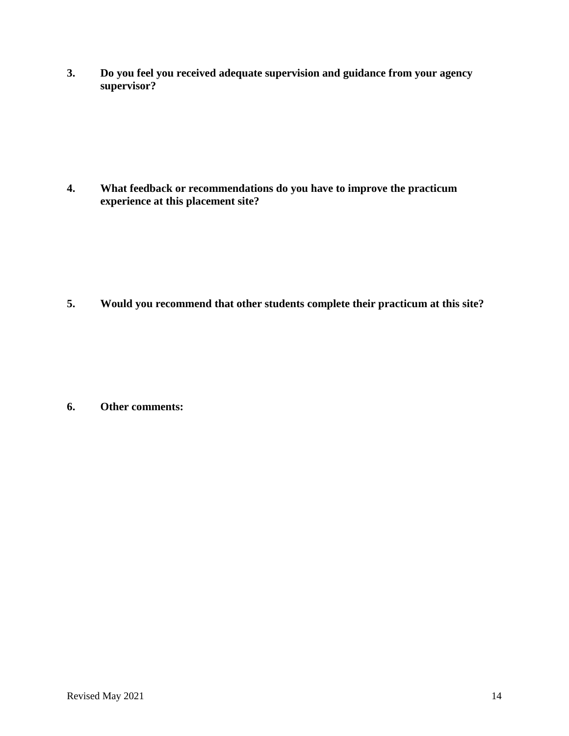**3. Do you feel you received adequate supervision and guidance from your agency supervisor?**

**4. What feedback or recommendations do you have to improve the practicum experience at this placement site?**

**5. Would you recommend that other students complete their practicum at this site?**

**6. Other comments:**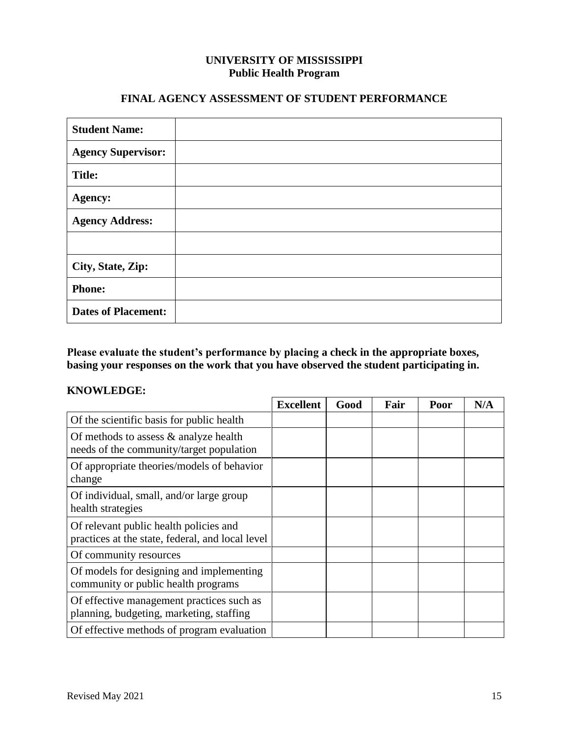#### **UNIVERSITY OF MISSISSIPPI Public Health Program**

## **FINAL AGENCY ASSESSMENT OF STUDENT PERFORMANCE**

| <b>Student Name:</b>       |  |
|----------------------------|--|
| <b>Agency Supervisor:</b>  |  |
| <b>Title:</b>              |  |
| <b>Agency:</b>             |  |
| <b>Agency Address:</b>     |  |
|                            |  |
| City, State, Zip:          |  |
| <b>Phone:</b>              |  |
| <b>Dates of Placement:</b> |  |

**Please evaluate the student's performance by placing a check in the appropriate boxes, basing your responses on the work that you have observed the student participating in.**

#### **KNOWLEDGE:**

|                                                                                            | <b>Excellent</b> | Good | Fair | Poor | N/A |
|--------------------------------------------------------------------------------------------|------------------|------|------|------|-----|
| Of the scientific basis for public health                                                  |                  |      |      |      |     |
| Of methods to assess & analyze health<br>needs of the community/target population          |                  |      |      |      |     |
| Of appropriate theories/models of behavior<br>change                                       |                  |      |      |      |     |
| Of individual, small, and/or large group<br>health strategies                              |                  |      |      |      |     |
| Of relevant public health policies and<br>practices at the state, federal, and local level |                  |      |      |      |     |
| Of community resources                                                                     |                  |      |      |      |     |
| Of models for designing and implementing<br>community or public health programs            |                  |      |      |      |     |
| Of effective management practices such as<br>planning, budgeting, marketing, staffing      |                  |      |      |      |     |
| Of effective methods of program evaluation                                                 |                  |      |      |      |     |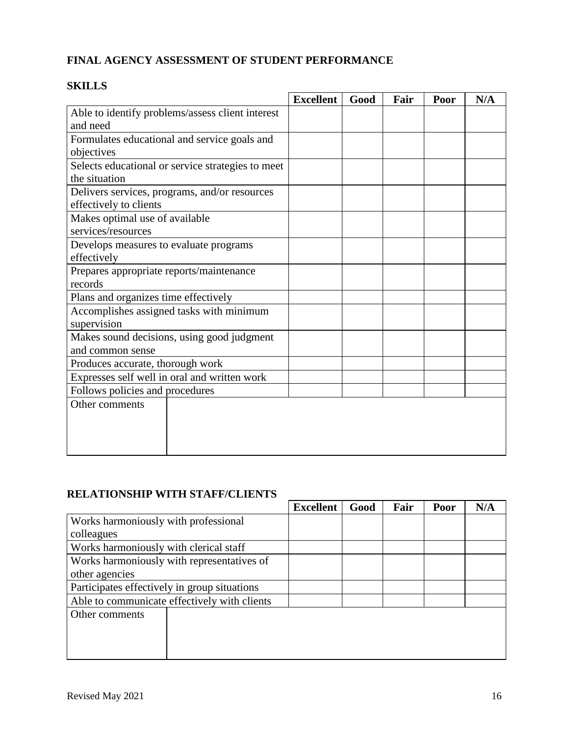## **FINAL AGENCY ASSESSMENT OF STUDENT PERFORMANCE**

|                                                         | <b>Excellent</b> | Good | Fair | Poor | N/A |
|---------------------------------------------------------|------------------|------|------|------|-----|
| Able to identify problems/assess client interest        |                  |      |      |      |     |
| and need                                                |                  |      |      |      |     |
| Formulates educational and service goals and            |                  |      |      |      |     |
| objectives                                              |                  |      |      |      |     |
| Selects educational or service strategies to meet       |                  |      |      |      |     |
| the situation                                           |                  |      |      |      |     |
| Delivers services, programs, and/or resources           |                  |      |      |      |     |
| effectively to clients                                  |                  |      |      |      |     |
| Makes optimal use of available                          |                  |      |      |      |     |
| services/resources                                      |                  |      |      |      |     |
| Develops measures to evaluate programs                  |                  |      |      |      |     |
| effectively                                             |                  |      |      |      |     |
| Prepares appropriate reports/maintenance                |                  |      |      |      |     |
| records                                                 |                  |      |      |      |     |
| Plans and organizes time effectively                    |                  |      |      |      |     |
| Accomplishes assigned tasks with minimum<br>supervision |                  |      |      |      |     |
| Makes sound decisions, using good judgment              |                  |      |      |      |     |
| and common sense                                        |                  |      |      |      |     |
| Produces accurate, thorough work                        |                  |      |      |      |     |
| Expresses self well in oral and written work            |                  |      |      |      |     |
| Follows policies and procedures                         |                  |      |      |      |     |
| Other comments                                          |                  |      |      |      |     |
|                                                         |                  |      |      |      |     |
|                                                         |                  |      |      |      |     |
|                                                         |                  |      |      |      |     |
|                                                         |                  |      |      |      |     |

### **SKILLS**

## **RELATIONSHIP WITH STAFF/CLIENTS**

|                                              | <b>Excellent</b> | Good | Fair | Poor | N/A |
|----------------------------------------------|------------------|------|------|------|-----|
| Works harmoniously with professional         |                  |      |      |      |     |
| colleagues                                   |                  |      |      |      |     |
| Works harmoniously with clerical staff       |                  |      |      |      |     |
| Works harmoniously with representatives of   |                  |      |      |      |     |
| other agencies                               |                  |      |      |      |     |
| Participates effectively in group situations |                  |      |      |      |     |
| Able to communicate effectively with clients |                  |      |      |      |     |
| Other comments                               |                  |      |      |      |     |
|                                              |                  |      |      |      |     |
|                                              |                  |      |      |      |     |
|                                              |                  |      |      |      |     |